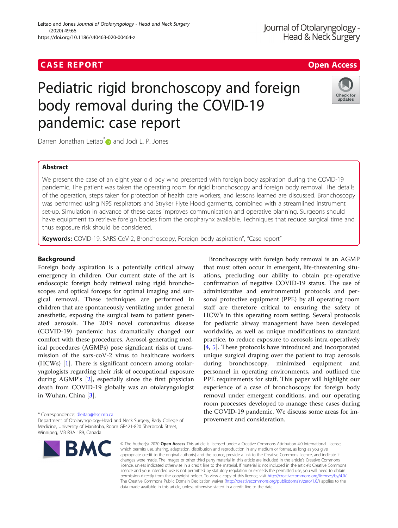# Leitao and Jones Journal of Otolaryngology - Head and Neck Surgery (2020) 49:66 https://doi.org/10.1186/s40463-020-00464-z

Journal of Otolaryngology -Head & Neck Surgery

# Pediatric rigid bronchoscopy and foreign body removal during the COVID-19 pandemic: case report



Darren Jonathan Leitao<sup>\*</sup> and Jodi L. P. Jones

# Abstract

We present the case of an eight year old boy who presented with foreign body aspiration during the COVID-19 pandemic. The patient was taken the operating room for rigid bronchoscopy and foreign body removal. The details of the operation, steps taken for protection of health care workers, and lessons learned are discussed. Bronchoscopy was performed using N95 respirators and Stryker Flyte Hood garments, combined with a streamlined instrument set-up. Simulation in advance of these cases improves communication and operative planning. Surgeons should have equipment to retrieve foreign bodies from the oropharynx available. Techniques that reduce surgical time and thus exposure risk should be considered.

Keywords: COVID-19, SARS-CoV-2, Bronchoscopy, Foreign body aspiration", "Case report"

# Background

Foreign body aspiration is a potentially critical airway emergency in children. Our current state of the art is endoscopic foreign body retrieval using rigid bronchoscopes and optical forceps for optimal imaging and surgical removal. These techniques are performed in children that are spontaneously ventilating under general anesthetic, exposing the surgical team to patient generated aerosols. The 2019 novel coronavirus disease (COVID-19) pandemic has dramatically changed our comfort with these procedures. Aerosol-generating medical procedures (AGMPs) pose significant risks of transmission of the sars-coV-2 virus to healthcare workers (HCWs) [[1\]](#page-4-0). There is significant concern among otolaryngologists regarding their risk of occupational exposure during AGMP's [[2\]](#page-4-0), especially since the first physician death from COVID-19 globally was an otolaryngologist in Wuhan, China [[3](#page-4-0)].

\* Correspondence: [dleitao@hsc.mb.ca](mailto:dleitao@hsc.mb.ca)

Department of Otolaryngology-Head and Neck Surgery, Rady College of Medicine, University of Manitoba, Room GB421-820 Sherbrook Street, Winnipeg, MB R3A 1R9, Canada



Bronchoscopy with foreign body removal is an AGMP that must often occur in emergent, life-threatening situations, precluding our ability to obtain pre-operative confirmation of negative COVID-19 status. The use of administrative and environmental protocols and personal protective equipment (PPE) by all operating room staff are therefore critical to ensuring the safety of HCW's in this operating room setting. Several protocols for pediatric airway management have been developed worldwide, as well as unique modifications to standard practice, to reduce exposure to aerosols intra-operatively [[4,](#page-4-0) [5\]](#page-5-0). These protocols have introduced and incorporated unique surgical draping over the patient to trap aerosols during bronchoscopy, minimized equipment and personnel in operating environments, and outlined the PPE requirements for staff. This paper will highlight our experience of a case of bronchoscopy for foreign body removal under emergent conditions, and our operating room processes developed to manage these cases during the COVID-19 pandemic. We discuss some areas for improvement and consideration.

© The Author(s), 2020 **Open Access** This article is licensed under a Creative Commons Attribution 4.0 International License, which permits use, sharing, adaptation, distribution and reproduction in any medium or format, as long as you give appropriate credit to the original author(s) and the source, provide a link to the Creative Commons licence, and indicate if changes were made. The images or other third party material in this article are included in the article's Creative Commons licence, unless indicated otherwise in a credit line to the material. If material is not included in the article's Creative Commons licence and your intended use is not permitted by statutory regulation or exceeds the permitted use, you will need to obtain permission directly from the copyright holder. To view a copy of this licence, visit [http://creativecommons.org/licenses/by/4.0/.](http://creativecommons.org/licenses/by/4.0/) The Creative Commons Public Domain Dedication waiver [\(http://creativecommons.org/publicdomain/zero/1.0/](http://creativecommons.org/publicdomain/zero/1.0/)) applies to the data made available in this article, unless otherwise stated in a credit line to the data.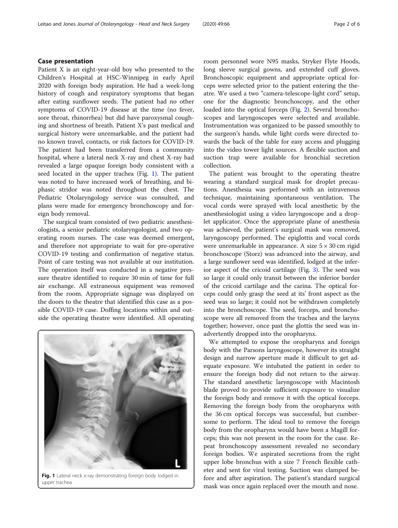# Case presentation

Patient X is an eight-year-old boy who presented to the Children's Hospital at HSC-Winnipeg in early April 2020 with foreign body aspiration. He had a week-long history of cough and respiratory symptoms that began after eating sunflower seeds. The patient had no other symptoms of COVID-19 disease at the time (no fever, sore throat, rhinorrhea) but did have paroxysmal coughing and shortness of breath. Patient X's past medical and surgical history were unremarkable, and the patient had no known travel, contacts, or risk factors for COVID-19. The patient had been transferred from a community hospital, where a lateral neck X-ray and chest X-ray had revealed a large opaque foreign body consistent with a seed located in the upper trachea (Fig. 1). The patient was noted to have increased work of breathing, and biphasic stridor was noted throughout the chest. The Pediatric Otolaryngology service was consulted, and plans were made for emergency bronchoscopy and foreign body removal.

The surgical team consisted of two pediatric anesthesiologists, a senior pediatric otolaryngologist, and two operating room nurses. The case was deemed emergent, and therefore not appropriate to wait for pre-operative COVID-19 testing and confirmation of negative status. Point of care testing was not available at our institution. The operation itself was conducted in a negative pressure theatre identified to require 30 min of time for full air exchange. All extraneous equipment was removed from the room. Appropriate signage was displayed on the doors to the theatre that identified this case as a possible COVID-19 case. Doffing locations within and outside the operating theatre were identified. All operating



Fig. 1 Lateral neck x-ray demonstrating foreign body lodged in upper trachea

room personnel wore N95 masks, Stryker Flyte Hoods, long sleeve surgical gowns, and extended cuff gloves. Bronchoscopic equipment and appropriate optical forceps were selected prior to the patient entering the theatre. We used a two "camera-telescope-light cord" setup, one for the diagnostic bronchoscopy, and the other loaded into the optical forceps (Fig. [2](#page-2-0)). Several bronchoscopes and laryngoscopes were selected and available. Instrumentation was organized to be passed smoothly to the surgeon's hands, while light cords were directed towards the back of the table for easy access and plugging into the video tower light sources. A flexible suction and suction trap were available for bronchial secretion collection.

The patient was brought to the operating theatre wearing a standard surgical mask for droplet precautions. Anesthesia was performed with an intravenous technique, maintaining spontaneous ventilation. The vocal cords were sprayed with local anesthetic by the anesthesiologist using a video laryngoscope and a droplet applicator. Once the appropriate plane of anesthesia was achieved, the patient's surgical mask was removed, laryngoscopy performed. The epiglottis and vocal cords were unremarkable in appearance. A size  $5 \times 30$  cm rigid bronchoscope (Storz) was advanced into the airway, and a large sunflower seed was identified, lodged at the inferior aspect of the cricoid cartilage (Fig. [3](#page-2-0)). The seed was so large it could only transit between the inferior border of the cricoid cartilage and the carina. The optical forceps could only grasp the seed at its' front aspect as the seed was so large; it could not be withdrawn completely into the bronchoscope. The seed, forceps, and bronchoscope were all removed from the trachea and the larynx together; however, once past the glottis the seed was inadvertently dropped into the oropharynx.

We attempted to expose the oropharynx and foreign body with the Parsons laryngoscope, however its straight design and narrow aperture made it difficult to get adequate exposure. We intubated the patient in order to ensure the foreign body did not return to the airway. The standard anesthetic laryngoscope with Macintosh blade proved to provide sufficient exposure to visualize the foreign body and remove it with the optical forceps. Removing the foreign body from the oropharynx with the 36 cm optical forceps was successful, but cumbersome to perform. The ideal tool to remove the foreign body from the oropharynx would have been a Magill forceps; this was not present in the room for the case. Repeat bronchoscopy assessment revealed no secondary foreign bodies. We aspirated secretions from the right upper lobe bronchus with a size 7 French flexible catheter and sent for viral testing. Suction was clamped before and after aspiration. The patient's standard surgical mask was once again replaced over the mouth and nose.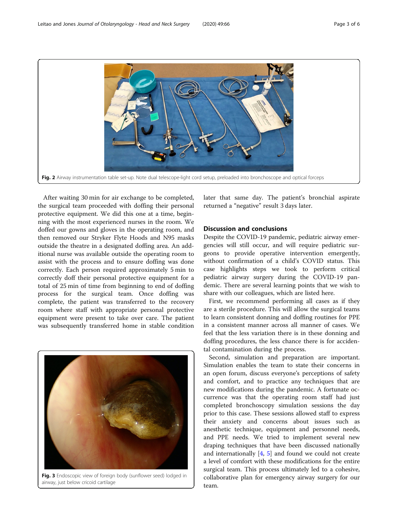<span id="page-2-0"></span>

After waiting 30 min for air exchange to be completed, the surgical team proceeded with doffing their personal protective equipment. We did this one at a time, beginning with the most experienced nurses in the room. We doffed our gowns and gloves in the operating room, and then removed our Stryker Flyte Hoods and N95 masks outside the theatre in a designated doffing area. An additional nurse was available outside the operating room to assist with the process and to ensure doffing was done correctly. Each person required approximately 5 min to correctly doff their personal protective equipment for a total of 25 min of time from beginning to end of doffing process for the surgical team. Once doffing was complete, the patient was transferred to the recovery room where staff with appropriate personal protective equipment were present to take over care. The patient was subsequently transferred home in stable condition



Fig. 3 Endoscopic view of foreign body (sunflower seed) lodged in airway, just below cricoid cartilage

later that same day. The patient's bronchial aspirate returned a "negative" result 3 days later.

# Discussion and conclusions

Despite the COVID-19 pandemic, pediatric airway emergencies will still occur, and will require pediatric surgeons to provide operative intervention emergently, without confirmation of a child's COVID status. This case highlights steps we took to perform critical pediatric airway surgery during the COVID-19 pandemic. There are several learning points that we wish to share with our colleagues, which are listed here.

First, we recommend performing all cases as if they are a sterile procedure. This will allow the surgical teams to learn consistent donning and doffing routines for PPE in a consistent manner across all manner of cases. We feel that the less variation there is in these donning and doffing procedures, the less chance there is for accidental contamination during the process.

Second, simulation and preparation are important. Simulation enables the team to state their concerns in an open forum, discuss everyone's perceptions of safety and comfort, and to practice any techniques that are new modifications during the pandemic. A fortunate occurrence was that the operating room staff had just completed bronchoscopy simulation sessions the day prior to this case. These sessions allowed staff to express their anxiety and concerns about issues such as anesthetic technique, equipment and personnel needs, and PPE needs. We tried to implement several new draping techniques that have been discussed nationally and internationally  $[4, 5]$  $[4, 5]$  $[4, 5]$  $[4, 5]$  $[4, 5]$  and found we could not create a level of comfort with these modifications for the entire surgical team. This process ultimately led to a cohesive, collaborative plan for emergency airway surgery for our team.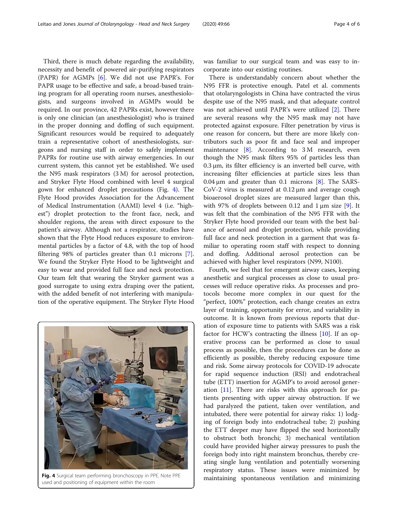Third, there is much debate regarding the availability, necessity and benefit of powered air-purifying respirators (PAPR) for AGMPs [[6\]](#page-5-0). We did not use PAPR's. For PAPR usage to be effective and safe, a broad-based training program for all operating room nurses, anesthesiologists, and surgeons involved in AGMPs would be required. In our province, 42 PAPRs exist, however there is only one clinician (an anesthesiologist) who is trained in the proper donning and doffing of such equipment. Significant resources would be required to adequately train a representative cohort of anesthesiologists, surgeons and nursing staff in order to safely implement PAPRs for routine use with airway emergencies. In our current system, this cannot yet be established. We used the N95 mask respirators (3 M) for aerosol protection, and Stryker Flyte Hood combined with level 4 surgical gown for enhanced droplet precautions (Fig. 4). The Flyte Hood provides Association for the Advancement of Medical Instrumentation (AAMI) level 4 (i.e. "highest") droplet protection to the front face, neck, and shoulder regions, the areas with direct exposure to the patient's airway. Although not a respirator, studies have shown that the Flyte Hood reduces exposure to environmental particles by a factor of 4.8, with the top of hood filtering 98% of particles greater than 0.1 microns [\[7](#page-5-0)]. We found the Stryker Flyte Hood to be lightweight and easy to wear and provided full face and neck protection. Our team felt that wearing the Stryker garment was a good surrogate to using extra draping over the patient, with the added benefit of not interfering with manipulation of the operative equipment. The Stryker Flyte Hood



used and positioning of equipment within the room

was familiar to our surgical team and was easy to incorporate into our existing routines.

There is understandably concern about whether the N95 FFR is protective enough. Patel et al. comments that otolaryngologists in China have contracted the virus despite use of the N95 mask, and that adequate control was not achieved until PAPR's were utilized [[2\]](#page-4-0). There are several reasons why the N95 mask may not have protected against exposure. Filter penetration by virus is one reason for concern, but there are more likely contributors such as poor fit and face seal and improper maintenance  $[8]$  $[8]$ . According to 3 M research, even though the N95 mask filters 95% of particles less than  $0.3 \mu$ m, its filter efficiency is an inverted bell curve, with increasing filter efficiencies at particle sizes less than  $0.04 \,\mu m$  and greater than 0.1 microns [[8\]](#page-5-0). The SARS-CoV-2 virus is measured at 0.12 μm and average cough bioaerosol droplet sizes are measured larger than this, with 97% of droplets between 0.12 and  $1 \mu m$  size [\[9](#page-5-0)]. It was felt that the combination of the N95 FFR with the Stryker Flyte hood provided our team with the best balance of aerosol and droplet protection, while providing full face and neck protection in a garment that was familiar to operating room staff with respect to donning and doffing. Additional aerosol protection can be achieved with higher level respirators (N99, N100).

Fourth, we feel that for emergent airway cases, keeping anesthetic and surgical processes as close to usual processes will reduce operative risks. As processes and protocols become more complex in our quest for the "perfect, 100%" protection, each change creates an extra layer of training, opportunity for error, and variability in outcome. It is known from previous reports that duration of exposure time to patients with SARS was a risk factor for HCW's contracting the illness  $[10]$  $[10]$  $[10]$ . If an operative process can be performed as close to usual process as possible, then the procedures can be done as efficiently as possible, thereby reducing exposure time and risk. Some airway protocols for COVID-19 advocate for rapid sequence induction (RSI) and endotracheal tube (ETT) insertion for AGMP's to avoid aerosol generation [\[11](#page-5-0)]. There are risks with this approach for patients presenting with upper airway obstruction. If we had paralyzed the patient, taken over ventilation, and intubated, there were potential for airway risks: 1) lodging of foreign body into endotracheal tube; 2) pushing the ETT deeper may have flipped the seed horizontally to obstruct both bronchi; 3) mechanical ventilation could have provided higher airway pressures to push the foreign body into right mainstem bronchus, thereby creating single lung ventilation and potentially worsening respiratory status. These issues were minimized by Fig. 4 Surgical team performing bronchoscopy in PPE. Note PPE maintaining spontaneous ventilation and minimizing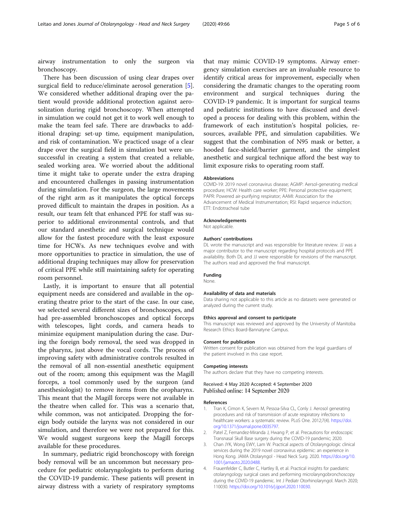<span id="page-4-0"></span>airway instrumentation to only the surgeon via bronchoscopy.

There has been discussion of using clear drapes over surgical field to reduce/eliminate aerosol generation [\[5](#page-5-0)]. We considered whether additional draping over the patient would provide additional protection against aerosolization during rigid bronchoscopy. When attempted in simulation we could not get it to work well enough to make the team feel safe. There are drawbacks to additional draping: set-up time, equipment manipulation, and risk of contamination. We practiced usage of a clear drape over the surgical field in simulation but were unsuccessful in creating a system that created a reliable, sealed working area. We worried about the additional time it might take to operate under the extra draping and encountered challenges in passing instrumentation during simulation. For the surgeon, the large movements of the right arm as it manipulates the optical forceps proved difficult to maintain the drapes in position. As a result, our team felt that enhanced PPE for staff was superior to additional environmental controls, and that our standard anesthetic and surgical technique would allow for the fastest procedure with the least exposure time for HCWs. As new techniques evolve and with more opportunities to practice in simulation, the use of additional draping techniques may allow for preservation of critical PPE while still maintaining safety for operating room personnel.

Lastly, it is important to ensure that all potential equipment needs are considered and available in the operating theatre prior to the start of the case. In our case, we selected several different sizes of bronchoscopes, and had pre-assembled bronchoscopes and optical forceps with telescopes, light cords, and camera heads to minimize equipment manipulation during the case. During the foreign body removal, the seed was dropped in the pharynx, just above the vocal cords. The process of improving safety with administrative controls resulted in the removal of all non-essential anesthetic equipment out of the room; among this equipment was the Magill forceps, a tool commonly used by the surgeon (and anesthesiologist) to remove items from the oropharynx. This meant that the Magill forceps were not available in the theatre when called for. This was a scenario that, while common, was not anticipated. Dropping the foreign body outside the larynx was not considered in our simulation, and therefore we were not prepared for this. We would suggest surgeons keep the Magill forceps available for these procedures.

In summary, pediatric rigid bronchoscopy with foreign body removal will be an uncommon but necessary procedure for pediatric otolaryngologists to perform during the COVID-19 pandemic. These patients will present in airway distress with a variety of respiratory symptoms

that may mimic COVID-19 symptoms. Airway emergency simulation exercises are an invaluable resource to identify critical areas for improvement, especially when considering the dramatic changes to the operating room environment and surgical techniques during the COVID-19 pandemic. It is important for surgical teams and pediatric institutions to have discussed and developed a process for dealing with this problem, within the framework of each institution's hospital policies, resources, available PPE, and simulation capabilities. We suggest that the combination of N95 mask or better, a hooded face-shield/barrier garment, and the simplest anesthetic and surgical technique afford the best way to limit exposure risks to operating room staff.

#### Abbreviations

COVID-19: 2019 novel coronavirus disease; AGMP: Aersol-generating medical procedure; HCW: Health care worker; PPE: Personal protective equipment; PAPR: Powered air-purifying respirator; AAMI: Association for the Advancement of Medical Instrumentation; RSI: Rapid sequence induction; ETT: Endotracheal tube

#### Acknowledgements

Not applicable.

#### Authors' contributions

DL wrote the manuscript and was responsible for literature review. JJ was a major contributor to the manuscript regarding hospital protocols and PPE availability. Both DL and JJ were responsible for revisions of the manuscript. The authors read and approved the final manuscript.

#### Funding

None.

#### Availability of data and materials

Data sharing not applicable to this article as no datasets were generated or analyzed during the current study.

#### Ethics approval and consent to participate

This manuscript was reviewed and approved by the University of Manitoba Research Ethics Board-Bannatyne Campus.

#### Consent for publication

Written consent for publication was obtained from the legal guardians of the patient involved in this case report.

#### Competing interests

The authors declare that they have no competing interests.

#### Received: 4 May 2020 Accepted: 4 September 2020 Published online: 14 September 2020

#### References

- 1. Tran K, Cimon K, Severn M, Pessoa-Silva CL, Conly J. Aerosol generating procedures and risk of transmission of acute respiratory infections to healthcare workers: a systematic review. PLoS One. 2012;7(4). [https://doi.](https://doi.org/10.1371/journal.pone.0035797) [org/10.1371/journal.pone.0035797.](https://doi.org/10.1371/journal.pone.0035797)
- 2. Patel Z, Fernandez-Miranda J, Hwang P, et al. Precautions for endoscopic Transnasal Skull Base surgery during the COVID-19 pandemic; 2020.
- 3. Chan JYK, Wong EWY, Lam W. Practical aspects of Otolaryngologic clinical services during the 2019 novel coronavirus epidemic: an experience in Hong Kong. JAMA Otolaryngol - Head Neck Surg. 2020. [https://doi.org/10.](https://doi.org/10.1001/jamaoto.2020.0488) [1001/jamaoto.2020.0488.](https://doi.org/10.1001/jamaoto.2020.0488)
- 4. Frauenfelder C, Butler C, Hartley B, et al. Practical insights for paediatric otolaryngology surgical cases and performing microlaryngobronchoscopy during the COVID-19 pandemic. Int J Pediatr Otorhinolaryngol. March 2020; 110030. <https://doi.org/10.1016/j.ijporl.2020.110030>.